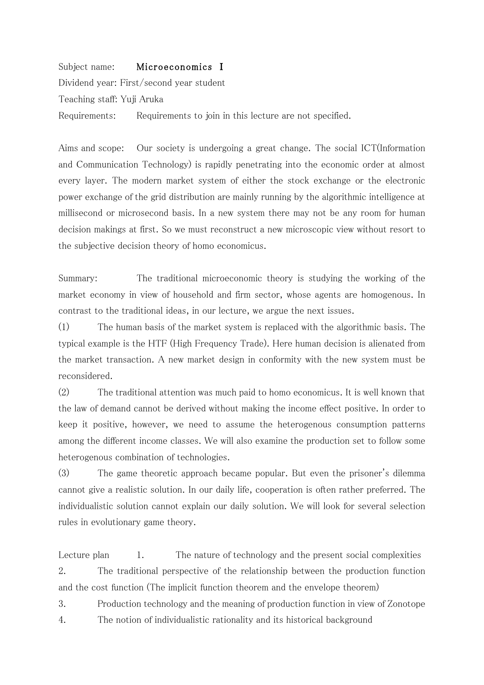Subject name: Microeconomics I Dividend year: First/second year student 㼀eaching staff: Yuji Aruka Requirements: Requirements to join in this lecture are not specified.

Aims and scope: Our society is undergoing a great change. The social ICT (Information and Communication Technology) is rapidly penetrating into the economic order at almost every layer. 㼀he modern market system of either the stock exchange or the electronic power exchange of the grid distribution are mainly running by the algorithmic intelligence at millisecond or microsecond basis. In a new system there may not be any room for human decision makings at first. So we must reconstruct a new microscopic view without resort to the subjective decision theory of homo economicus.

Summary: The traditional microeconomic theory is studying the working of the market economy in view of household and firm sector, whose agents are homogenous. In contrast to the traditional ideas, in our lecture, we argue the next issues.

 $(1)$  The human basis of the market system is replaced with the algorithmic basis. The typical example is the HTF (High Frequency Trade). Here human decision is alienated from the market transaction. A new market design in conformity with the new system must be reconsidered.

 $(2)$  The traditional attention was much paid to homo economicus. It is well known that the law of demand cannot be derived without making the income effect positive. In order to keep it positive, however, we need to assume the heterogenous consumption patterns among the different income classes. We will also examine the production set to follow some heterogenous combination of technologies.

(3) The game theoretic approach became popular. But even the prisoner's dilemma cannot give a realistic solution. In our daily life, cooperation is often rather preferred. The individualistic solution cannot explain our daily solution. 㼃e will look for several selection rules in evolutionary game theory.

Lecture plan 1. The nature of technology and the present social complexities 2. The traditional perspective of the relationship between the production function and the cost function (The implicit function theorem and the envelope theorem)

3. Production technology and the meaning of production function in view of Zonotope 4. The notion of individualistic rationality and its historical background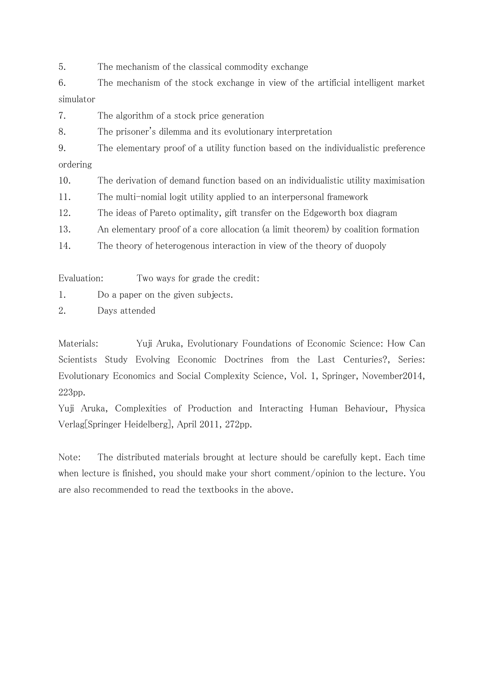5. The mechanism of the classical commodity exchange

6. The mechanism of the stock exchange in view of the artificial intelligent market simulator

7. The algorithm of a stock price generation

8. The prisoner's dilemma and its evolutionary interpretation

9. The elementary proof of a utility function based on the individualistic preference ordering

10. The derivation of demand function based on an individualistic utility maximisation

11. The multi-nomial logit utility applied to an interpersonal framework

12. The ideas of Pareto optimality, gift transfer on the Edgeworth box diagram

13. An elementary proof of a core allocation (a limit theorem) by coalition formation

14. The theory of heterogenous interaction in view of the theory of duopoly

Evaluation: Two ways for grade the credit:

1. Do a paper on the given subjects.

2. Days attended

Materials: Yuji Aruka, Evolutionary Foundations of Economic Science: How Can Scientists Study Evolving Economic Doctrines from the Last Centuries?, Series: Evolutionary Economics and Social Complexity Science, Vol. 1, Springer, November2014, 223pp.

Yuji Aruka, Complexities of Production and Interacting Human Behaviour, Physica Verlag[Springer Heidelberg], April 2011, 272pp.

Note: The distributed materials brought at lecture should be carefully kept. Each time when lecture is finished, you should make your short comment/opinion to the lecture. You are also recommended to read the textbooks in the above.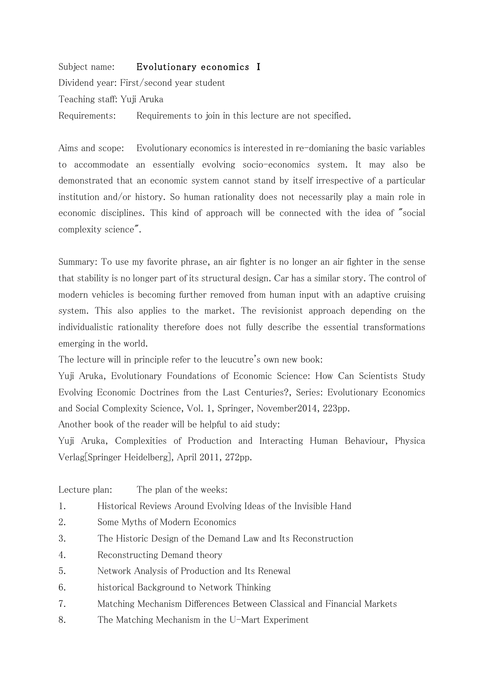## Subject name: Evolutionary economics I

Dividend year: First/second year student 㼀eaching staff: Yuji Aruka Requirements: Requirements to join in this lecture are not specified.

Aims and scope: Evolutionary economics is interested in re-domianing the basic variables to accommodate an essentially evolving socio-economics system. It may also be demonstrated that an economic system cannot stand by itself irrespective of a particular institution and/or history. So human rationality does not necessarily play a main role in economic disciplines. This kind of approach will be connected with the idea of "social complexity science".

Summary: To use my favorite phrase, an air fighter is no longer an air fighter in the sense that stability is no longer part of its structural design. Car has a similar story. The control of modern vehicles is becoming further removed from human input with an adaptive cruising system. This also applies to the market. The revisionist approach depending on the individualistic rationality therefore does not fully describe the essential transformations emerging in the world.

The lecture will in principle refer to the leucutre's own new book:

Yuji Aruka, Evolutionary Foundations of Economic Science: How Can Scientists Study Evolving Economic Doctrines from the Last Centuries?, Series: Evolutionary Economics and Social Complexity Science, Vol. 1, Springer, November2014, 223pp.

Another book of the reader will be helpful to aid study:

Yuji Aruka, Complexities of Production and Interacting Human Behaviour, Physica Verlag[Springer Heidelberg], April 2011, 272pp.

- Lecture plan: The plan of the weeks:
- 1. Historical Reviews Around Evolving Ideas of the Invisible Hand
- 2. Some Myths of Modern Economics
- 3. The Historic Design of the Demand Law and Its Reconstruction
- 4. Reconstructing Demand theory
- 5. Network Analysis of Production and Its Renewal
- 6. historical Background to Network Thinking
- 7. Matching Mechanism Differences Between Classical and Financial Markets
- 8. The Matching Mechanism in the U-Mart Experiment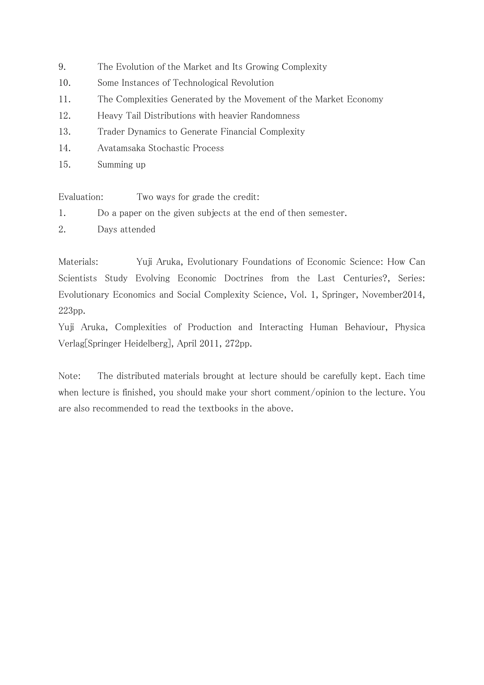- 9. The Evolution of the Market and Its Growing Complexity
- 10. Some Instances of Technological Revolution
- The Complexities Generated by the Movement of the Market Economy 11.
- 12. Heavy Tail Distributions with heavier Randomness
- 13. Trader Dynamics to Generate Financial Complexity
- 14. Avatamsaka Stochastic Process
- 15. Summing up

Evaluation: Two ways for grade the credit:

- 1. Do a paper on the given subjects at the end of then semester.
- 2. Days attended

Materials: Yuji Aruka, Evolutionary Foundations of Economic Science: How Can Scientists Study Evolving Economic Doctrines from the Last Centuries?, Series: Evolutionary Economics and Social Complexity Science, Vol. 1, Springer, November 2014, 223pp.

Yuji Aruka, Complexities of Production and Interacting Human Behaviour, Physica Verlag Springer Heidelberg], April 2011, 272pp.

Note: The distributed materials brought at lecture should be carefully kept. Each time when lecture is finished, you should make your short comment/opinion to the lecture. You are also recommended to read the textbooks in the above.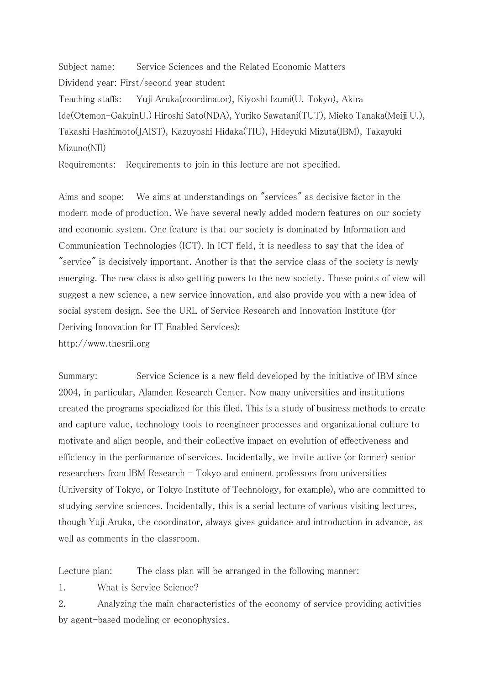Subject name: Service Sciences and the Related Economic Matters Dividend year: First/second year student Teaching staffs: Yuji Aruka(coordinator), Kiyoshi Izumi(U. Tokyo), Akira Ide(Otemon-GakuinU.) Hiroshi Sato(NDA), Yuriko Sawatani(TUT), Mieko Tanaka(Meiji U.), Takashi Hashimoto(JAIST), Kazuyoshi Hidaka(TIU), Hideyuki Mizuta(IBM), Takayuki

```
Mizuno(NII)
```
Requirements: Requirements to join in this lecture are not specified.

Aims and scope: We aims at understandings on "services" as decisive factor in the modern mode of production. We have several newly added modern features on our society and economic system. One feature is that our society is dominated by Information and Communication Technologies (ICT). In ICT field, it is needless to say that the idea of "service" is decisively important. Another is that the service class of the society is newly emerging. The new class is also getting powers to the new society. These points of view will suggest a new science, a new service innovation, and also provide you with a new idea of social system design. See the URL of Service Research and Innovation Institute (for Deriving Innovation for IT Enabled Services):

http://www.thesrii.org

Summary: Service Science is a new field developed by the initiative of IBM since 2004, in particular, Alamden Research Center. Now many universities and institutions created the programs specialized for this filed. 㼀his is a study of business methods to create and capture value, technology tools to reengineer processes and organizational culture to motivate and align people, and their collective impact on evolution of effectiveness and efficiency in the performance of services. Incidentally, we invite active (or former) senior researchers from IBM Research  $-$  Tokyo and eminent professors from universities (㼁niversity of 㼀okyo, or 㼀okyo Institute of 㼀echnology, for example), who are committed to studying service sciences. Incidentally, this is a serial lecture of various visiting lectures, though Yuji Aruka, the coordinator, always gives guidance and introduction in advance, as well as comments in the classroom.

Lecture plan: The class plan will be arranged in the following manner:

1. What is Service Science?

2. Analyzing the main characteristics of the economy of service providing activities by agent-based modeling or econophysics.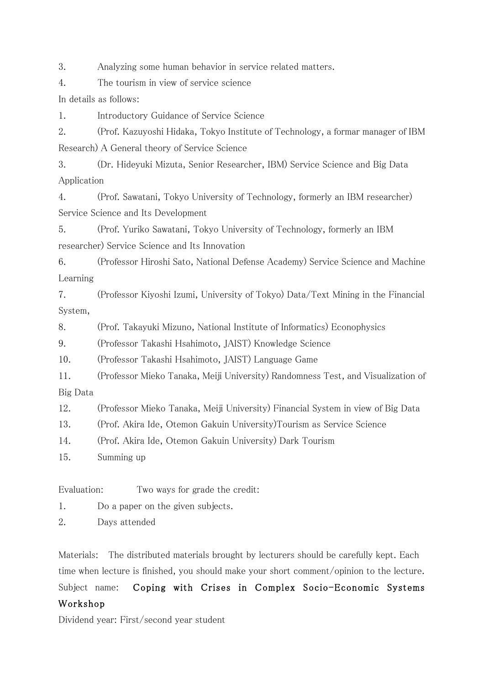3. Analyzing some human behavior in service related matters.

4. The tourism in view of service science

In details as follows:

1. Introductory Guidance of Service Science

2. (Prof. Kazuyoshi Hidaka, Tokyo Institute of Technology, a formar manager of IBM Research) A General theory of Service Science

3. (Dr. Hideyuki Mizuta, Senior Researcher, IBM) Service Science and Big Data Application

4. (Prof. Sawatani, Tokyo University of Technology, formerly an IBM researcher) Service Science and Its Development

5. (Prof. Yuriko Sawatani, Tokyo University of Technology, formerly an IBM researcher) Service Science and Its Innovation

6. (Professor Hiroshi Sato, National Defense Academy) Service Science and Machine Learning

7. (Professor Kiyoshi Izumi, 㼁niversity of 㼀okyo) Data/㼀ext Mining in the Financial System,

8. (Prof. 㼀akayuki Mizuno, National Institute of Informatics) Econophysics

9. (Professor Takashi Hsahimoto, JAIST) Knowledge Science

10. (Professor Takashi Hsahimoto, JAIST) Language Game

11. (Professor Mieko Tanaka, Meiji University) Randomness Test, and Visualization of Big Data

12. (Professor Mieko Tanaka, Meiji University) Financial System in view of Big Data

13. (Prof. Akira Ide, Otemon Gakuin University) Tourism as Service Science

14. (Prof. Akira Ide, Otemon Gakuin University) Dark Tourism

15. Summing up

Evaluation: Two ways for grade the credit:

1. Do a paper on the given subjects.

2. Days attended

Materials: The distributed materials brought by lecturers should be carefully kept. Each time when lecture is finished, you should make your short comment/opinion to the lecture.

Subject name: Coping with Crises in Complex Socio-Economic Systems 㼃orkshop

Dividend year: First/second year student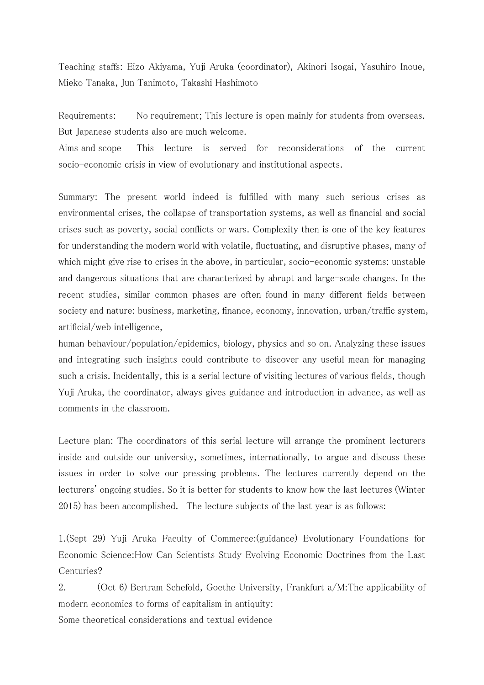㼀eaching staffs: Eizo Akiyama, Yuji Aruka (coordinator), Akinori Isogai, Yasuhiro Inoue, Mieko Tanaka, Jun Tanimoto, Takashi Hashimoto

Requirements: No requirement; This lecture is open mainly for students from overseas. But Japanese students also are much welcome.

Aims and scope This lecture is served for reconsiderations of the current socio-economic crisis in view of evolutionary and institutional aspects.

Summary: The present world indeed is fulfilled with many such serious crises as environmental crises, the collapse of transportation systems, as well as financial and social crises such as poverty, social conflicts or wars. Complexity then is one of the key features for understanding the modern world with volatile, fluctuating, and disruptive phases, many of which might give rise to crises in the above, in particular, socio-economic systems: unstable and dangerous situations that are characterized by abrupt and large-scale changes. In the recent studies, similar common phases are often found in many different fields between society and nature: business, marketing, finance, economy, innovation, urban/traffic system, artificial/web intelligence,

human behaviour/population/epidemics, biology, physics and so on. Analyzing these issues and integrating such insights could contribute to discover any useful mean for managing such a crisis. Incidentally, this is a serial lecture of visiting lectures of various fields, though Yuji Aruka, the coordinator, always gives guidance and introduction in advance, as well as comments in the classroom.

Lecture plan: The coordinators of this serial lecture will arrange the prominent lecturers inside and outside our university, sometimes, internationally, to argue and discuss these issues in order to solve our pressing problems. The lectures currently depend on the lecturers' ongoing studies. So it is better for students to know how the last lectures (Winter 2015) has been accomplished. The lecture subjects of the last year is as follows:

1.(㻿ept 29) Yuji Aruka Faculty of Commerce:(guidance) Evolutionary Foundations for Economic Science: How Can Scientists Study Evolving Economic Doctrines from the Last Centuries?

2. (Oct 6) Bertram Schefold, Goethe University, Frankfurt  $a/M$ : The applicability of modern economics to forms of capitalism in antiquity: Some theoretical considerations and textual evidence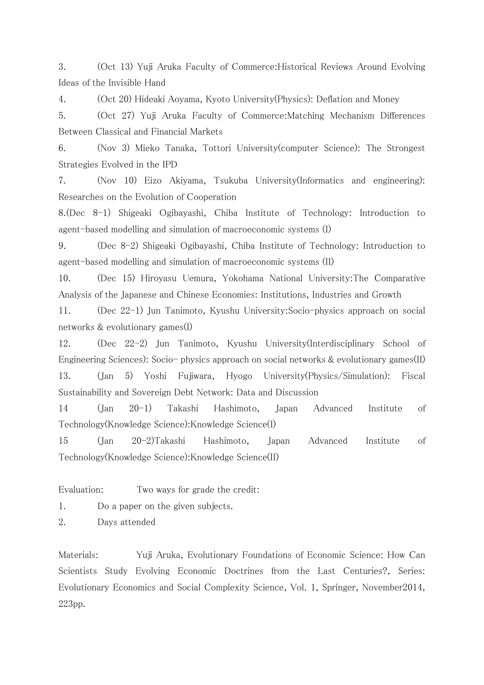3. (Oct 13) Yuji Aruka Faculty of Commerce: Historical Reviews Around Evolving Ideas of the Invisible Hand

4. (Oct 20) Hideaki Aoyama, Kyoto University(Physics): Deflation and Money

5. (Oct 27) Yuji Aruka Faculty of Commerce:Matching Mechanism Differences Between Classical and Financial Markets

6. (Nov 3) Mieko Tanaka, Tottori University(computer Science): The Strongest Strategies Evolved in the IPD

7. (Nov 10) Eizo Akiyama, Tsukuba University(Informatics and engineering): Researches on the Evolution of Cooperation

8.(Dec 8-1) Shigeaki Ogibayashi, Chiba Institute of Technology: Introduction to agent-based modelling and simulation of macroeconomic systems (I)

9. (Dec 8-2) Shigeaki Ogibayashi, Chiba Institute of Technology: Introduction to agent-based modelling and simulation of macroeconomic systems (II)

10. (Dec 15) Hiroyasu Uemura, Yokohama National University: The Comparative Analysis of the Japanese and Chinese Economies: Institutions, Industries and Growth

11. (Dec 22-1) Jun Tanimoto, Kyushu University: Socio-physics approach on social networks & evolutionary games(I)

12. (Dec 22-2) Jun Tanimoto, Kyushu University(Interdisciplinary School of Engineering Sciences): Socio- physics approach on social networks & evolutionary games(II) 13. (Jan 5) Yoshi Fujiwara, Hyogo 㼁niversity(Physics/㻿imulation): Fiscal Sustainability and Sovereign Debt Network: Data and Discussion

14 (Jan 20-1) 㼀akashi Hashimoto, Japan Advanced Institute of Technology(Knowledge Science): Knowledge Science(I)

15 (Jan 20-2)㼀akashi Hashimoto, Japan Advanced Institute of Technology(Knowledge Science): Knowledge Science(II)

Evaluation: Two ways for grade the credit:

1. Do a paper on the given subjects.

2. Days attended

Materials: Yuji Aruka, Evolutionary Foundations of Economic Science: How Can Scientists Study Evolving Economic Doctrines from the Last Centuries?, Series: Evolutionary Economics and Social Complexity Science, Vol. 1, Springer, November2014, 223pp.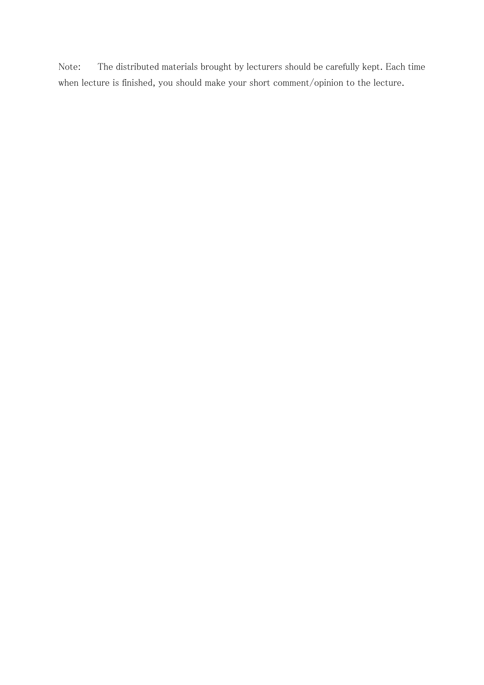Note: The distributed materials brought by lecturers should be carefully kept. Each time when lecture is finished, you should make your short comment/opinion to the lecture.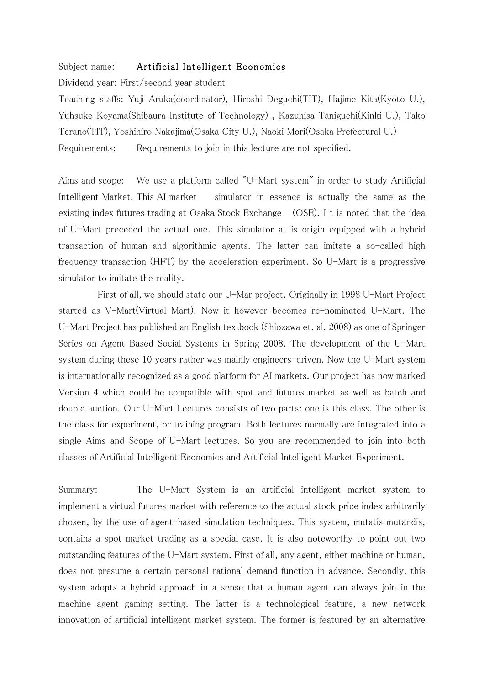## Subject name: Artificial Intelligent Economics

Dividend year: First/second year student

Teaching staffs: Yuji Aruka(coordinator), Hiroshi Deguchi(TIT), Hajime Kita(Kyoto U.), Yuhsuke Koyama(Shibaura Institute of Technology), Kazuhisa Taniguchi(Kinki U.), Tako Terano(TIT), Yoshihiro Nakajima(Osaka City U.), Naoki Mori(Osaka Prefectural U.) Requirements: Requirements to join in this lecture are not specified.

Aims and scope: We use a platform called "U-Mart system" in order to study Artificial Intelligent Market. This AI market simulator in essence is actually the same as the existing index futures trading at Osaka Stock Exchange (OSE). I t is noted that the idea of U-Mart preceded the actual one. This simulator at is origin equipped with a hybrid transaction of human and algorithmic agents. The latter can imitate a so-called high frequency transaction (HFT) by the acceleration experiment. So U-Mart is a progressive simulator to imitate the reality.

First of all, we should state our U-Mar project. Originally in 1998 U-Mart Project started as V-Mart(Virtual Mart). Now it however becomes re-nominated U-Mart. The U-Mart Project has published an English textbook (Shiozawa et. al. 2008) as one of Springer Series on Agent Based Social Systems in Spring 2008. The development of the U-Mart system during these 10 years rather was mainly engineers-driven. Now the U-Mart system is internationally recognized as a good platform for AI markets. Our project has now marked Version 4 which could be compatible with spot and futures market as well as batch and double auction. Our U-Mart Lectures consists of two parts: one is this class. The other is the class for experiment, or training program. Both lectures normally are integrated into a single Aims and Scope of U-Mart lectures. So you are recommended to join into both classes of Artificial Intelligent Economics and Artificial Intelligent Market Experiment.

Summary: The U-Mart System is an artificial intelligent market system to implement a virtual futures market with reference to the actual stock price index arbitrarily chosen, by the use of agent-based simulation techniques. This system, mutatis mutandis, contains a spot market trading as a special case. It is also noteworthy to point out two outstanding features of the 㼁-Mart system. First of all, any agent, either machine or human, does not presume a certain personal rational demand function in advance. Secondly, this system adopts a hybrid approach in a sense that a human agent can always join in the machine agent gaming setting. The latter is a technological feature, a new network innovation of artificial intelligent market system. The former is featured by an alternative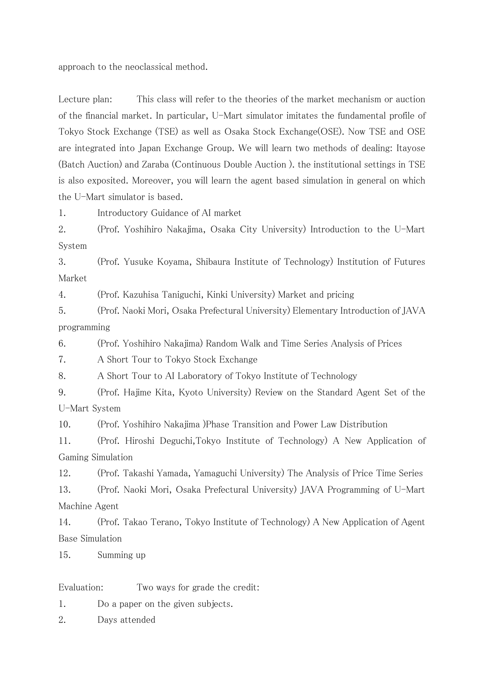approach to the neoclassical method.

Lecture plan: This class will refer to the theories of the market mechanism or auction of the financial market. In particular, U-Mart simulator imitates the fundamental profile of Tokyo Stock Exchange (TSE) as well as Osaka Stock Exchange (OSE). Now TSE and OSE are integrated into Japan Exchange Group. We will learn two methods of dealing: Itayose (Batch Auction) and Zaraba (Continuous Double Auction). the institutional settings in TSE is also exposited. Moreover, you will learn the agent based simulation in general on which the U-Mart simulator is based.

1. Introductory Guidance of AI market

2. (Prof. Yoshihiro Nakajima, Osaka City University) Introduction to the U-Mart System

3. (Prof. Yusuke Koyama, Shibaura Institute of Technology) Institution of Futures Market

4. (Prof. Kazuhisa Taniguchi, Kinki University) Market and pricing

5. (Prof. Naoki Mori, Osaka Prefectural University) Elementary Introduction of JAVA programming

6. (Prof. Yoshihiro Nakajima) Random Walk and Time Series Analysis of Prices

7. A Short Tour to Tokyo Stock Exchange

8. A Short Tour to AI Laboratory of Tokyo Institute of Technology

9. (Prof. Hajime Kita, Kyoto University) Review on the Standard Agent Set of the U-Mart System

10. (Prof. Yoshihiro Nakajima) Phase Transition and Power Law Distribution

 $11.$ (Prof. Hiroshi Deguchi, Tokyo Institute of Technology) A New Application of Gaming Simulation

12. (Prof. Takashi Yamada, Yamaguchi University) The Analysis of Price Time Series 13. (Prof. Naoki Mori, Osaka Prefectural University) JAVA Programming of U-Mart Machine Agent

(Prof. Takao Terano, Tokyo Institute of Technology) A New Application of Agent 14. **Base Simulation** 

Summing up 15.

Evaluation: Two ways for grade the credit:

1. Do a paper on the given subjects.

2. Days attended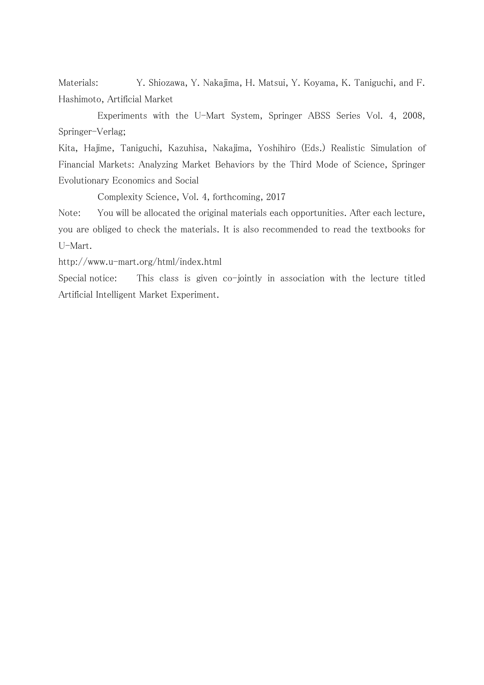Materials: Y. Shiozawa, Y. Nakajima, H. Matsui, Y. Koyama, K. Taniguchi, and F. Hashimoto, Artificial Market

Experiments with the U-Mart System, Springer ABSS Series Vol. 4, 2008, Springer-Verlag;

Kita, Hajime, Taniguchi, Kazuhisa, Nakajima, Yoshihiro (Eds.) Realistic Simulation of Financial Markets: Analyzing Market Behaviors by the Third Mode of Science, Springer Evolutionary Economics and Social

Complexity Science, Vol. 4, forthcoming, 2017

Note: You will be allocated the original materials each opportunities. After each lecture, you are obliged to check the materials. It is also recommended to read the textbooks for U-Mart.

http://www.u-mart.org/html/index.html

Special notice: This class is given co-jointly in association with the lecture titled Artificial Intelligent Market Experiment.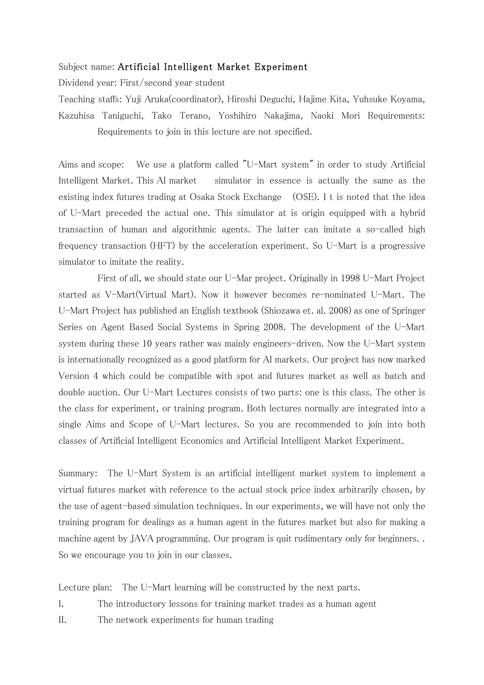## Subject name: Artificial Intelligent Market Experiment

Dividend year: First/second year student

㼀eaching staffs: Yuji Aruka(coordinator), Hiroshi Deguchi, Hajime Kita, Yuhsuke Koyama, Kazuhisa Taniguchi, Tako Terano, Yoshihiro Nakajima, Naoki Mori Requirements: Requirements to join in this lecture are not specified.

Aims and scope: We use a platform called "U-Mart system" in order to study Artificial Intelligent Market. This AI market simulator in essence is actually the same as the existing index futures trading at Osaka Stock Exchange (OSE). I t is noted that the idea of U-Mart preceded the actual one. This simulator at is origin equipped with a hybrid transaction of human and algorithmic agents. The latter can imitate a so-called high frequency transaction (HFT) by the acceleration experiment. So U-Mart is a progressive simulator to imitate the reality.

First of all, we should state our U-Mar project. Originally in 1998 U-Mart Project started as V-Mart(Virtual Mart). Now it however becomes re-nominated U-Mart. The U-Mart Project has published an English textbook (Shiozawa et. al. 2008) as one of Springer Series on Agent Based Social Systems in Spring 2008. The development of the U-Mart system during these 10 years rather was mainly engineers-driven. Now the U-Mart system is internationally recognized as a good platform for AI markets. Our project has now marked Version 4 which could be compatible with spot and futures market as well as batch and double auction. Our U-Mart Lectures consists of two parts: one is this class. The other is the class for experiment, or training program. Both lectures normally are integrated into a single Aims and Scope of U-Mart lectures. So you are recommended to join into both classes of Artificial Intelligent Economics and Artificial Intelligent Market Experiment.

Summary: The U-Mart System is an artificial intelligent market system to implement a virtual futures market with reference to the actual stock price index arbitrarily chosen, by the use of agent-based simulation techniques. In our experiments, we will have not only the training program for dealings as a human agent in the futures market but also for making a machine agent by JAVA programming. Our program is quit rudimentary only for beginners.. So we encourage you to join in our classes.

Lecture plan: The U-Mart learning will be constructed by the next parts.

- I. The introductory lessons for training market trades as a human agent
- II. The network experiments for human trading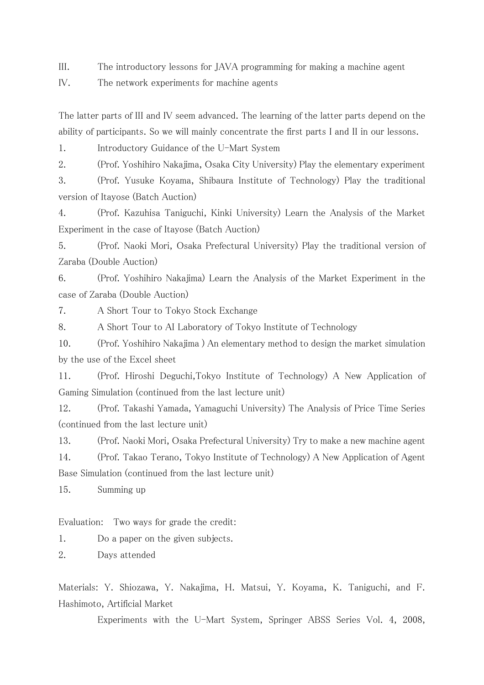III. The introductory lessons for JAVA programming for making a machine agent

IV. The network experiments for machine agents

The latter parts of III and IV seem advanced. The learning of the latter parts depend on the ability of participants. So we will mainly concentrate the first parts I and II in our lessons.

1. Introductory Guidance of the U-Mart System

2. (Prof. Yoshihiro Nakajima, Osaka City University) Play the elementary experiment

3. (Prof. Yusuke Koyama, Shibaura Institute of Technology) Play the traditional version of Itayose (Batch Auction)

4. (Prof. Kazuhisa Taniguchi, Kinki University) Learn the Analysis of the Market Experiment in the case of Itayose (Batch Auction)

5. (Prof. Naoki Mori, Osaka Prefectural 㼁niversity) Play the traditional version of Zaraba (Double Auction)

6. (Prof. Yoshihiro Nakajima) Learn the Analysis of the Market Experiment in the case of Zaraba (Double Auction)

7. A Short Tour to Tokyo Stock Exchange

8. A Short Tour to AI Laboratory of Tokyo Institute of Technology

10. (Prof. Yoshihiro Nakajima ) An elementary method to design the market simulation by the use of the Excel sheet

11. (Prof. Hiroshi Deguchi, Tokyo Institute of Technology) A New Application of Gaming Simulation (continued from the last lecture unit)

12. (Prof. Takashi Yamada, Yamaguchi University) The Analysis of Price Time Series (continued from the last lecture unit)

13. (Prof. Naoki Mori, Osaka Prefectural University) Try to make a new machine agent

14. (Prof. Takao Terano, Tokyo Institute of Technology) A New Application of Agent Base Simulation (continued from the last lecture unit)

15. Summing up

Evaluation: Two ways for grade the credit:

1. Do a paper on the given subjects.

2. Days attended

Materials: Y. Shiozawa, Y. Nakajima, H. Matsui, Y. Koyama, K. Taniguchi, and F. Hashimoto, Artificial Market

Experiments with the U-Mart System, Springer ABSS Series Vol. 4, 2008,